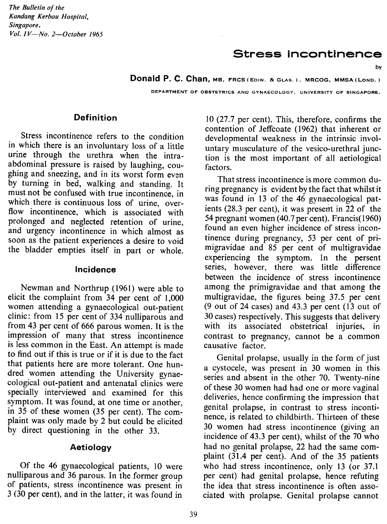*The Bulletin of the Kandang Kerbau Hospital, Singapore. Vol. IV-No. 2-0ctober 1965*

# Stress incontinence

by

**Donald P. C. Chan,** MS. FRCS (EDIN. 8<GLAS.). MRCOG. MMSA(LoND.)

DEPARTMENT OF OBSTETRICS AND GYNAECOLOGY, UNIVERSITY OF SINGAPORE.

#### **Definition**

Stress incontinence refers to the condition in which there is an involuntary loss of a little urine through the urethra when the intraabdominal pressure is raised by laughing, coughing and sneezing, and in its worst form even by turning in bed, walking and standing. It must not be confused with true incontinence. in which there is continuous loss of urine, overflow incontinence, which is associated with prolonged and neglected retention of urine, and urgency incontinence in which almost as soon as the patient experiences a desire to void the bladder empties itself in part or whole.

#### Incidence

Newman and Northrup (1961) were able to elicit the complaint from 34 per cent of 1,000 women attending a gynaecological out-patient clinic: from 15 per cent of 334 nulliparous and from 43 per cent of 666 parous women. It is the impression of many that stress incontinence is less common in the East. An attempt is made to find out if this is true or if it is due to the fact that patients here are more tolerant. One hundred women attending the University gynaecological out-patient and antenatal clinics were specially interviewed and examined for this symptom. It was found, at one time or another, in 35 of these women (35 per cent). The complaint was only made by 2 but could be elicited by direct questioning in the other 33.

#### **Aetiology**

Of the 46 gynaecological patients, 10 were nulliparous and 36 parous. In the former group of patients, stress incontinence was present in 3 (30 per cent), and in the latter, it was found in

10 (27.7 per cent). This, therefore, confirms the contention of Jeffcoate (1962) that inherent or developmental weakness in the intrinsic involuntary musculature of the vesico-urethral junction is the most important of all aetiological factors.

That stress incontinence ismore common during pregnancy is evident by the fact that whilst it was found in 13 of the 46 gynaecological patients (28.3 per cent), it was present in  $22$  of the 54 pregnant women (40.7per cent). Francis(1960) found an even higher incidence of stress incontinence during pregnancy, 53 per cent of primigravidae and 85 per cent of multigravidae experiencing the symptom. In the persent series, however, there was little difference between the incidence of stress incontinence among the primigravidae and that among the multigravidae, the figures being 37.5 per cent (9 out of 24 cases) and 43.3 per cent (13 out of 30 cases) respectively. This suggests that delivery with its associated obstetrical injuries, in contrast to pregnancy, cannot be a common causative factor.

Genital prolapse, usually in the form of just a cystocele, was present in 30 women in this series and absent in the other 70. Twenty-nine of these 30 women had had one or more vaginal deliveries, hence confirming the impression that genital prolapse, in contrast to stress incontinence, is related to childbirth. Thirteen of these 30 women had stress incontinence (giving an incidence of 43.3 per cent), whilst of the 70 who had no genital prolapse, 22 had the same complaint (31.4 per cent). And of the 35 patients who had stress incontinence, only 13 (or 37.1 per cent) had genital prolapse, hence refuting the idea that stress incontinence is often associated with prolapse. Genital prolapse cannot